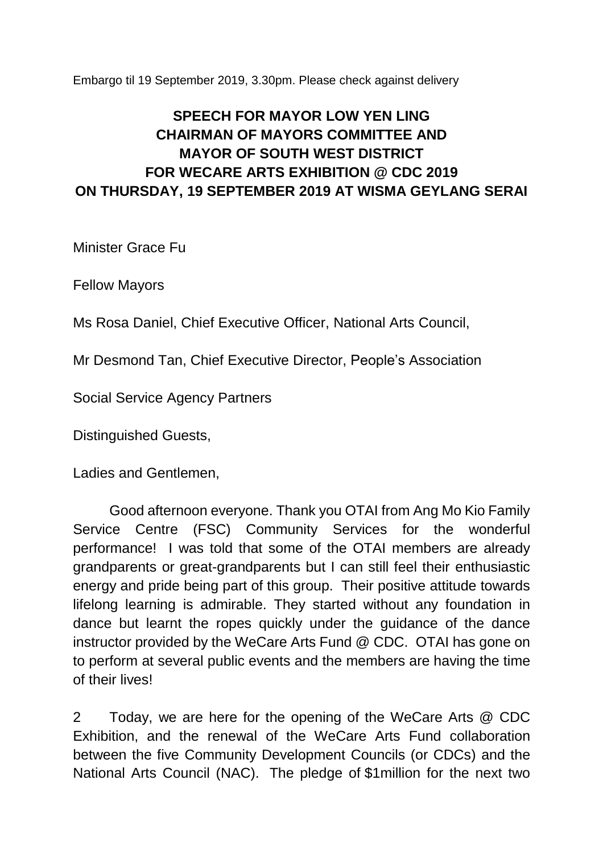Embargo til 19 September 2019, 3.30pm. Please check against delivery

## **SPEECH FOR MAYOR LOW YEN LING CHAIRMAN OF MAYORS COMMITTEE AND MAYOR OF SOUTH WEST DISTRICT FOR WECARE ARTS EXHIBITION @ CDC 2019 ON THURSDAY, 19 SEPTEMBER 2019 AT WISMA GEYLANG SERAI**

Minister Grace Fu

Fellow Mayors

Ms Rosa Daniel, Chief Executive Officer, National Arts Council,

Mr Desmond Tan, Chief Executive Director, People's Association

Social Service Agency Partners

Distinguished Guests,

Ladies and Gentlemen,

Good afternoon everyone. Thank you OTAI from Ang Mo Kio Family Service Centre (FSC) Community Services for the wonderful performance! I was told that some of the OTAI members are already grandparents or great-grandparents but I can still feel their enthusiastic energy and pride being part of this group. Their positive attitude towards lifelong learning is admirable. They started without any foundation in dance but learnt the ropes quickly under the guidance of the dance instructor provided by the WeCare Arts Fund @ CDC. OTAI has gone on to perform at several public events and the members are having the time of their lives!

2 Today, we are here for the opening of the WeCare Arts @ CDC Exhibition, and the renewal of the WeCare Arts Fund collaboration between the five Community Development Councils (or CDCs) and the National Arts Council (NAC). The pledge of \$1million for the next two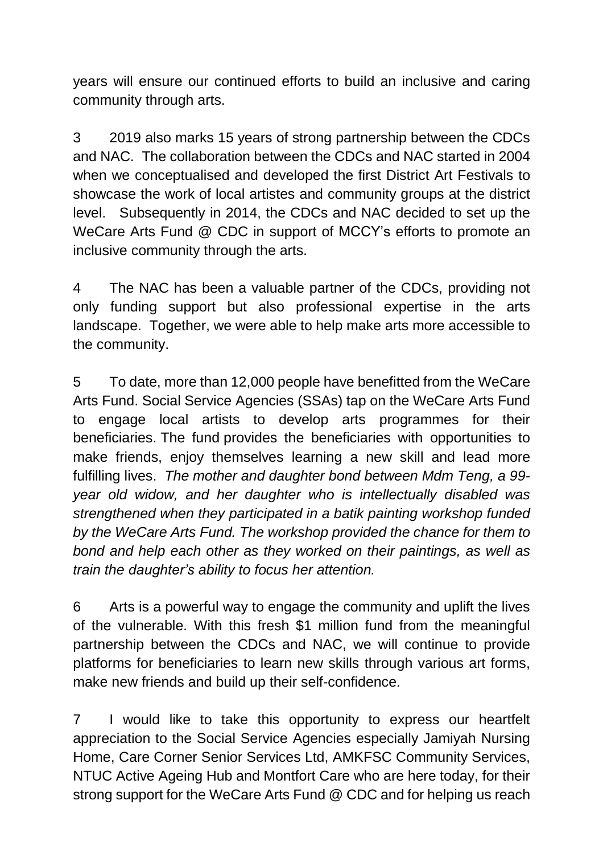years will ensure our continued efforts to build an inclusive and caring community through arts.

3 2019 also marks 15 years of strong partnership between the CDCs and NAC. The collaboration between the CDCs and NAC started in 2004 when we conceptualised and developed the first District Art Festivals to showcase the work of local artistes and community groups at the district level. Subsequently in 2014, the CDCs and NAC decided to set up the WeCare Arts Fund @ CDC in support of MCCY's efforts to promote an inclusive community through the arts.

4 The NAC has been a valuable partner of the CDCs, providing not only funding support but also professional expertise in the arts landscape. Together, we were able to help make arts more accessible to the community.

5 To date, more than 12,000 people have benefitted from the WeCare Arts Fund. Social Service Agencies (SSAs) tap on the WeCare Arts Fund to engage local artists to develop arts programmes for their beneficiaries. The fund provides the beneficiaries with opportunities to make friends, enjoy themselves learning a new skill and lead more fulfilling lives. *The mother and daughter bond between Mdm Teng, a 99 year old widow, and her daughter who is intellectually disabled was strengthened when they participated in a batik painting workshop funded by the WeCare Arts Fund. The workshop provided the chance for them to bond and help each other as they worked on their paintings, as well as train the daughter's ability to focus her attention.*

6 Arts is a powerful way to engage the community and uplift the lives of the vulnerable. With this fresh \$1 million fund from the meaningful partnership between the CDCs and NAC, we will continue to provide platforms for beneficiaries to learn new skills through various art forms, make new friends and build up their self-confidence.

7 I would like to take this opportunity to express our heartfelt appreciation to the Social Service Agencies especially Jamiyah Nursing Home, Care Corner Senior Services Ltd, AMKFSC Community Services, NTUC Active Ageing Hub and Montfort Care who are here today, for their strong support for the WeCare Arts Fund @ CDC and for helping us reach